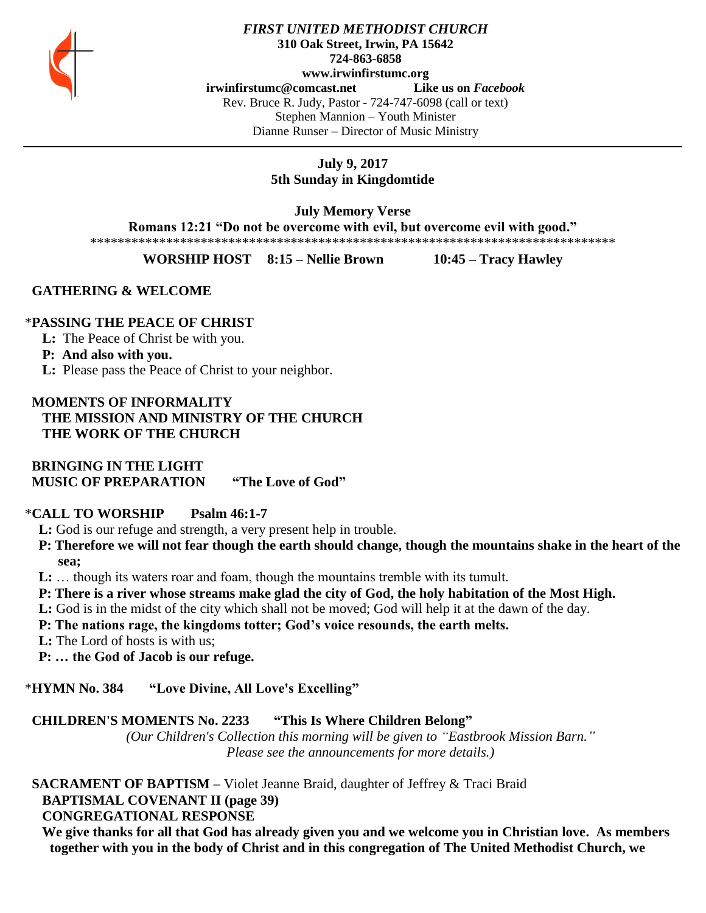

#### *FIRST UNITED METHODIST CHURCH* **310 Oak Street, Irwin, PA 15642 724-863-6858 www.irwinfirstumc.org [irwinfirstumc@comcast.net](mailto:irwinfirstumc@comcast.net) Like us on** *Facebook* Rev. Bruce R. Judy, Pastor - 724-747-6098 (call or text) Stephen Mannion – Youth Minister Dianne Runser – Director of Music Ministry

# **July 9, 2017 5th Sunday in Kingdomtide**

**July Memory Verse** 

**Romans 12:21 "Do not be overcome with evil, but overcome evil with good."**

\*\*\*\*\*\*\*\*\*\*\*\*\*\*\*\*\*\*\*\*\*\*\*\*\*\*\*\*\*\*\*\*\*\*\*\*\*\*\*\*\*\*\*\*\*\*\*\*\*\*\*\*\*\*\*\*\*\*\*\*\*\*\*\*\*\*\*\*\*\*\*\*\*\*\*\*

**WORSHIP HOST 8:15 – Nellie Brown 10:45 – Tracy Hawley**

# **GATHERING & WELCOME**

# \***PASSING THE PEACE OF CHRIST**

- **L:** The Peace of Christ be with you.
- **P: And also with you.**
- **L:** Please pass the Peace of Christ to your neighbor.

# **MOMENTS OF INFORMALITY THE MISSION AND MINISTRY OF THE CHURCH THE WORK OF THE CHURCH**

 **BRINGING IN THE LIGHT MUSIC OF PREPARATION "The Love of God"**

# \***CALL TO WORSHIP Psalm 46:1-7**

- **L:** God is our refuge and strength, a very present help in trouble.
- **P: Therefore we will not fear though the earth should change, though the mountains shake in the heart of the sea;**
- **L:** … though its waters roar and foam, though the mountains tremble with its tumult.
- **P: There is a river whose streams make glad the city of God, the holy habitation of the Most High.**
- **L:** God is in the midst of the city which shall not be moved; God will help it at the dawn of the day.
- **P: The nations rage, the kingdoms totter; God's voice resounds, the earth melts.**
- **L:** The Lord of hosts is with us;
- **P: … the God of Jacob is our refuge.**

# \***HYMN No. 384 "Love Divine, All Love's Excelling"**

# **CHILDREN'S MOMENTS No. 2233 "This Is Where Children Belong"**

*(Our Children's Collection this morning will be given to "Eastbrook Mission Barn." Please see the announcements for more details.)*

# **SACRAMENT OF BAPTISM –** Violet Jeanne Braid, daughter of Jeffrey & Traci Braid

 **BAPTISMAL COVENANT II (page 39)**

# **CONGREGATIONAL RESPONSE**

 **We give thanks for all that God has already given you and we welcome you in Christian love. As members together with you in the body of Christ and in this congregation of The United Methodist Church, we**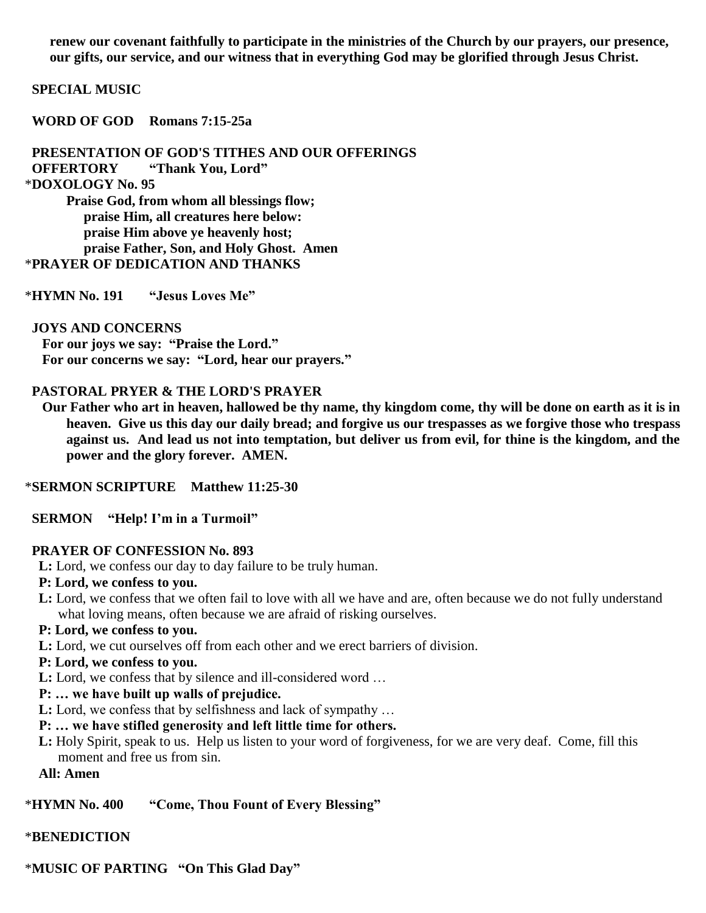**renew our covenant faithfully to participate in the ministries of the Church by our prayers, our presence, our gifts, our service, and our witness that in everything God may be glorified through Jesus Christ.**

#### **SPECIAL MUSIC**

 **WORD OF GOD Romans 7:15-25a**

 **PRESENTATION OF GOD'S TITHES AND OUR OFFERINGS**

 **OFFERTORY "Thank You, Lord"**

#### \***DOXOLOGY No. 95**

**Praise God, from whom all blessings flow; praise Him, all creatures here below: praise Him above ye heavenly host; praise Father, Son, and Holy Ghost. Amen** \***PRAYER OF DEDICATION AND THANKS**

\***HYMN No. 191 "Jesus Loves Me"**

#### **JOYS AND CONCERNS**

 **For our joys we say: "Praise the Lord." For our concerns we say: "Lord, hear our prayers."**

#### **PASTORAL PRYER & THE LORD'S PRAYER**

 **Our Father who art in heaven, hallowed be thy name, thy kingdom come, thy will be done on earth as it is in heaven. Give us this day our daily bread; and forgive us our trespasses as we forgive those who trespass against us. And lead us not into temptation, but deliver us from evil, for thine is the kingdom, and the power and the glory forever. AMEN.**

#### \***SERMON SCRIPTURE Matthew 11:25-30**

 **SERMON "Help! I'm in a Turmoil"**

#### **PRAYER OF CONFESSION No. 893**

 **L:** Lord, we confess our day to day failure to be truly human.

#### **P: Lord, we confess to you.**

 **L:** Lord, we confess that we often fail to love with all we have and are, often because we do not fully understand what loving means, often because we are afraid of risking ourselves.

#### **P: Lord, we confess to you.**

 **L:** Lord, we cut ourselves off from each other and we erect barriers of division.

#### **P: Lord, we confess to you.**

 **L:** Lord, we confess that by silence and ill-considered word …

# **P: … we have built up walls of prejudice.**

 **L:** Lord, we confess that by selfishness and lack of sympathy …

# **P: … we have stifled generosity and left little time for others.**

 **L:** Holy Spirit, speak to us. Help us listen to your word of forgiveness, for we are very deaf. Come, fill this moment and free us from sin.

#### **All: Amen**

#### \***HYMN No. 400 "Come, Thou Fount of Every Blessing"**

#### \***BENEDICTION**

\***MUSIC OF PARTING "On This Glad Day"**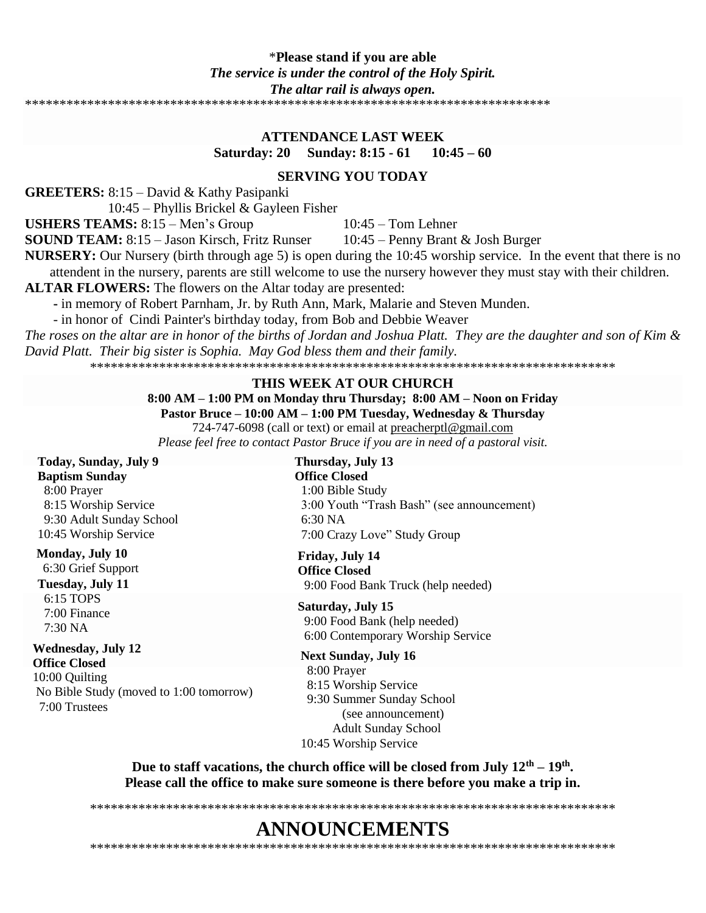# \***Please stand if you are able** *The service is under the control of the Holy Spirit. The altar rail is always open.*

\*\*\*\*\*\*\*\*\*\*\*\*\*\*\*\*\*\*\*\*\*\*\*\*\*\*\*\*\*\*\*\*\*\*\*\*\*\*\*\*\*\*\*\*\*\*\*\*\*\*\*\*\*\*\*\*\*\*\*\*\*\*\*\*\*\*\*\*\*\*\*\*\*\*\*\*

#### **ATTENDANCE LAST WEEK**

**Saturday: 20 Sunday: 8:15 - 61 10:45 – 60**

#### **SERVING YOU TODAY**

**GREETERS:** 8:15 – David & Kathy Pasipanki

10:45 – Phyllis Brickel & Gayleen Fisher

**USHERS TEAMS:**  $8:15 -$ Men's Group  $10:45 -$ Tom Lehner

**SOUND TEAM:** 8:15 – Jason Kirsch, Fritz Runser 10:45 – Penny Brant & Josh Burger

**NURSERY:** Our Nursery (birth through age 5) is open during the 10:45 worship service. In the event that there is no attendent in the nursery, parents are still welcome to use the nursery however they must stay with their children.

**ALTAR FLOWERS:** The flowers on the Altar today are presented:

**-** in memory of Robert Parnham, Jr. by Ruth Ann, Mark, Malarie and Steven Munden.

- in honor of Cindi Painter's birthday today, from Bob and Debbie Weaver

*The roses on the altar are in honor of the births of Jordan and Joshua Platt. They are the daughter and son of Kim & David Platt. Their big sister is Sophia. May God bless them and their family.*

\*\*\*\*\*\*\*\*\*\*\*\*\*\*\*\*\*\*\*\*\*\*\*\*\*\*\*\*\*\*\*\*\*\*\*\*\*\*\*\*\*\*\*\*\*\*\*\*\*\*\*\*\*\*\*\*\*\*\*\*\*\*\*\*\*\*\*\*\*\*\*\*\*\*\*\*

#### **THIS WEEK AT OUR CHURCH**

# **8:00 AM – 1:00 PM on Monday thru Thursday; 8:00 AM – Noon on Friday**

**Pastor Bruce – 10:00 AM – 1:00 PM Tuesday, Wednesday & Thursday**

724-747-6098 (call or text) or email at [preacherptl@gmail.com](mailto:preacherptl@gmail.com)

*Please feel free to contact Pastor Bruce if you are in need of a pastoral visit.*

#### **Today, Sunday, July 9 Baptism Sunday** 8:00 Prayer 8:15 Worship Service 9:30 Adult Sunday School 10:45 Worship Service

**Monday, July 10** 6:30 Grief Support

**Tuesday, July 11** 6:15 TOPS 7:00 Finance 7:30 NA

#### **Wednesday, July 12**

**Office Closed** 10:00 Quilting No Bible Study (moved to 1:00 tomorrow) 7:00 Trustees

**Thursday, July 13 Office Closed** 1:00 Bible Study 3:00 Youth "Trash Bash" (see announcement) 6:30 NA 7:00 Crazy Love" Study Group

**Friday, July 14 Office Closed** 9:00 Food Bank Truck (help needed)

#### **Saturday, July 15**

 9:00 Food Bank (help needed) 6:00 Contemporary Worship Service

#### **Next Sunday, July 16**

 8:00 Prayer 8:15 Worship Service 9:30 Summer Sunday School (see announcement) Adult Sunday School 10:45 Worship Service

**Due to staff vacations, the church office will be closed from July 12th – 19th . Please call the office to make sure someone is there before you make a trip in.**

# **ANNOUNCEMENTS**

\*\*\*\*\*\*\*\*\*\*\*\*\*\*\*\*\*\*\*\*\*\*\*\*\*\*\*\*\*\*\*\*\*\*\*\*\*\*\*\*\*\*\*\*\*\*\*\*\*\*\*\*\*\*\*\*\*\*\*\*\*\*\*\*\*\*\*\*\*\*\*\*\*\*\*\*

\*\*\*\*\*\*\*\*\*\*\*\*\*\*\*\*\*\*\*\*\*\*\*\*\*\*\*\*\*\*\*\*\*\*\*\*\*\*\*\*\*\*\*\*\*\*\*\*\*\*\*\*\*\*\*\*\*\*\*\*\*\*\*\*\*\*\*\*\*\*\*\*\*\*\*\*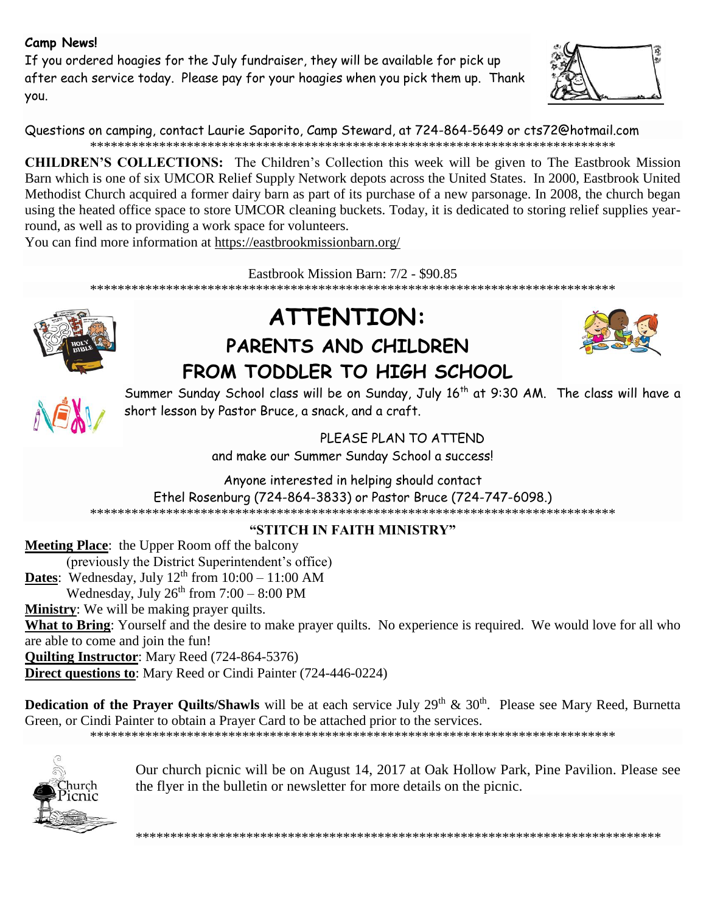# **Camp News!**

If you ordered hoagies for the July fundraiser, they will be available for pick up after each service today. Please pay for your hoagies when you pick them up. Thank you.



Questions on camping, contact Laurie Saporito, Camp Steward, at 724-864-5649 or [cts72@hotmail.com](javascript:window.top.ZmObjectManager.__doClickObject(document.getElementById(%22OBJ_PREFIX_DWT1794_com_zimbra_email%22));) \*\*\*\*\*\*\*\*\*\*\*\*\*\*\*\*\*\*\*\*\*\*\*\*\*\*\*\*\*\*\*\*\*\*\*\*\*\*\*\*\*\*\*\*\*\*\*\*\*\*\*\*\*\*\*\*\*\*\*\*\*\*\*\*\*\*\*\*\*\*\*\*\*\*\*\*

**CHILDREN'S COLLECTIONS:** The Children's Collection this week will be given to The Eastbrook Mission Barn which is one of six [UMCOR Relief Supply Network](http://www.umcor.org/UMCOR/Relief-Supplies/Relief-Supply-Network/Relief-Supply-Network) depots across the United States. In 2000, Eastbrook United Methodist Church acquired a former dairy barn as part of its purchase of a new parsonage. In 2008, the church began using the heated office space to store UMCOR cleaning buckets. Today, it is dedicated to storing relief supplies yearround, as well as to providing a work space for volunteers.

You can find more information at https://eastbrookmissionbarn.org/

Eastbrook Mission Barn: 7/2 - \$90.85

\*\*\*\*\*\*\*\*\*\*\*\*\*\*\*\*\*\*\*\*\*\*\*\*\*\*\*\*\*\*\*\*\*\*\*\*\*\*\*\*\*\*\*\*\*\*\*\*\*\*\*\*\*\*\*\*\*\*\*\*\*\*\*\*\*\*\*\*\*\*\*\*\*\*\*\*



# **ATTENTION: PARENTS AND CHILDREN FROM TODDLER TO HIGH SCHOOL**





Summer Sunday School class will be on Sunday, July 16<sup>th</sup> at 9:30 AM. The class will have a short lesson by Pastor Bruce, a snack, and a craft.

> PLEASE PLAN TO ATTEND and make our Summer Sunday School a success!

Anyone interested in helping should contact Ethel Rosenburg (724-864-3833) or Pastor Bruce (724-747-6098.)

\*\*\*\*\*\*\*\*\*\*\*\*\*\*\*\*\*\*\*\*\*\*\*\*\*\*\*\*\*\*\*\*\*\*\*\*\*\*\*\*\*\*\*\*\*\*\*\*\*\*\*\*\*\*\*\*\*\*\*\*\*\*\*\*\*\*\*\*\*\*\*\*\*\*\*\*

**"STITCH IN FAITH MINISTRY"**

**Meeting Place**: the Upper Room off the balcony (previously the District Superintendent's office) **Dates**: Wednesday, July  $12<sup>th</sup>$  from  $10:00 - 11:00$  AM Wednesday, July  $26^{th}$  from  $7:00 - 8:00$  PM **Ministry**: We will be making prayer quilts. **What to Bring**: Yourself and the desire to make prayer quilts. No experience is required. We would love for all who are able to come and join the fun! **Quilting Instructor**: Mary Reed (724-864-5376) **Direct questions to**: Mary Reed or Cindi Painter (724-446-0224)

**Dedication of the Prayer Quilts/Shawls** will be at each service July 29<sup>th</sup> & 30<sup>th</sup>. Please see Mary Reed, Burnetta Green, or Cindi Painter to obtain a Prayer Card to be attached prior to the services.

\*\*\*\*\*\*\*\*\*\*\*\*\*\*\*\*\*\*\*\*\*\*\*\*\*\*\*\*\*\*\*\*\*\*\*\*\*\*\*\*\*\*\*\*\*\*\*\*\*\*\*\*\*\*\*\*\*\*\*\*\*\*\*\*\*\*\*\*\*\*\*\*\*\*\*\*



Our church picnic will be on August 14, 2017 at Oak Hollow Park, Pine Pavilion. Please see the flyer in the bulletin or newsletter for more details on the picnic.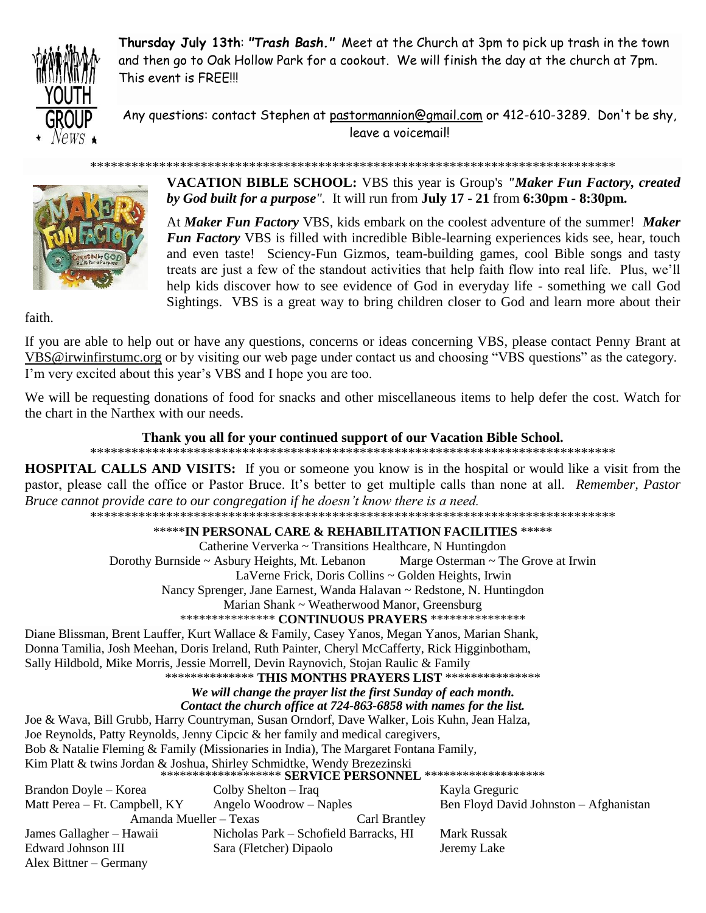

**Thursday July 13th**: *"Trash Bash."* Meet at the Church at 3pm to pick up trash in the town and then go to Oak Hollow Park for a cookout. We will finish the day at the church at 7pm. This event is FREE!!!

Any questions: contact Stephen at [pastormannion@gmail.com](javascript:window.top.ZmObjectManager.__doClickObject(document.getElementById(%22OBJ_PREFIX_DWT2566_com_zimbra_email%22));) or 412-610-3289. Don't be shy, leave a voicemail!



**VACATION BIBLE SCHOOL:** VBS this year is Group's *"Maker Fun Factory, created by God built for a purpose".* It will run from **July 17 - 21** from **6:30pm - 8:30pm.**

At *Maker Fun Factory* VBS, kids embark on the coolest adventure of the summer! *Maker Fun Factory* VBS is filled with incredible Bible-learning experiences kids see, hear, touch and even taste! Sciency-Fun Gizmos, team-building games, cool Bible songs and tasty treats are just a few of the standout activities that help faith flow into real life. Plus, we'll help kids discover how to see evidence of God in everyday life - something we call God Sightings. VBS is a great way to bring children closer to God and learn more about their

faith.

If you are able to help out or have any questions, concerns or ideas concerning VBS, please contact Penny Brant at [VBS@irwinfirstumc.org](mailto:VBS@irwinfirstumc.org) or by visiting our web page under contact us and choosing "VBS questions" as the category. I'm very excited about this year's VBS and I hope you are too.

\*\*\*\*\*\*\*\*\*\*\*\*\*\*\*\*\*\*\*\*\*\*\*\*\*\*\*\*\*\*\*\*\*\*\*\*\*\*\*\*\*\*\*\*\*\*\*\*\*\*\*\*\*\*\*\*\*\*\*\*\*\*\*\*\*\*\*\*\*\*\*\*\*\*\*\*

We will be requesting donations of food for snacks and other miscellaneous items to help defer the cost. Watch for the chart in the Narthex with our needs.

#### **Thank you all for your continued support of our Vacation Bible School.**

\*\*\*\*\*\*\*\*\*\*\*\*\*\*\*\*\*\*\*\*\*\*\*\*\*\*\*\*\*\*\*\*\*\*\*\*\*\*\*\*\*\*\*\*\*\*\*\*\*\*\*\*\*\*\*\*\*\*\*\*\*\*\*\*\*\*\*\*\*\*\*\*\*\*\*\*

**HOSPITAL CALLS AND VISITS:** If you or someone you know is in the hospital or would like a visit from the pastor, please call the office or Pastor Bruce. It's better to get multiple calls than none at all. *Remember, Pastor Bruce cannot provide care to our congregation if he doesn't know there is a need.*

\*\*\*\*\*\*\*\*\*\*\*\*\*\*\*\*\*\*\*\*\*\*\*\*\*\*\*\*\*\*\*\*\*\*\*\*\*\*\*\*\*\*\*\*\*\*\*\*\*\*\*\*\*\*\*\*\*\*\*\*\*\*\*\*\*\*\*\*\*\*\*\*\*\*\*\*

#### \*\*\*\*\***IN PERSONAL CARE & REHABILITATION FACILITIES** \*\*\*\*\*

Catherine Ververka ~ Transitions Healthcare, N Huntingdon

Dorothy Burnside ~ Asbury Heights, Mt. Lebanon Marge Osterman ~ The Grove at Irwin

LaVerne Frick, Doris Collins ~ Golden Heights, Irwin

Nancy Sprenger, Jane Earnest, Wanda Halavan ~ Redstone, N. Huntingdon

Marian Shank ~ Weatherwood Manor, Greensburg

#### \*\*\*\*\*\*\*\*\*\*\*\*\*\*\* **CONTINUOUS PRAYERS** \*\*\*\*\*\*\*\*\*\*\*\*\*\*\*

Diane Blissman, Brent Lauffer, Kurt Wallace & Family, Casey Yanos, Megan Yanos, Marian Shank, Donna Tamilia, Josh Meehan, Doris Ireland, Ruth Painter, Cheryl McCafferty, Rick Higginbotham, Sally Hildbold, Mike Morris, Jessie Morrell, Devin Raynovich, Stojan Raulic & Family

# \*\*\*\*\*\*\*\*\*\*\*\*\*\* **THIS MONTHS PRAYERS LIST** \*\*\*\*\*\*\*\*\*\*\*\*\*\*\*

*We will change the prayer list the first Sunday of each month.*

*Contact the church office at 724-863-6858 with names for the list.*

Joe & Wava, Bill Grubb, Harry Countryman, Susan Orndorf, Dave Walker, Lois Kuhn, Jean Halza,

Joe Reynolds, Patty Reynolds, Jenny Cipcic & her family and medical caregivers,

Bob & Natalie Fleming & Family (Missionaries in India), The Margaret Fontana Family,

Kim Platt & twins Jordan & Joshua, Shirley Schmidtke, Wendy Brezezinski

|  | ******************** SERVICE PERSONNEL ******************** |
|--|-------------------------------------------------------------|
|--|-------------------------------------------------------------|

| Brandon Doyle – Korea         | Colby Shelton $-$ Iraq                 |               | Kayla Greguric                         |
|-------------------------------|----------------------------------------|---------------|----------------------------------------|
| Matt Perea – Ft. Campbell, KY | Angelo Woodrow – Naples                |               | Ben Floyd David Johnston - Afghanistan |
| Amanda Mueller – Texas        |                                        | Carl Brantley |                                        |
| James Gallagher – Hawaii      | Nicholas Park – Schofield Barracks, HI |               | Mark Russak                            |
| Edward Johnson III            | Sara (Fletcher) Dipaolo                |               | Jeremy Lake                            |
| Alex Bittner – Germany        |                                        |               |                                        |